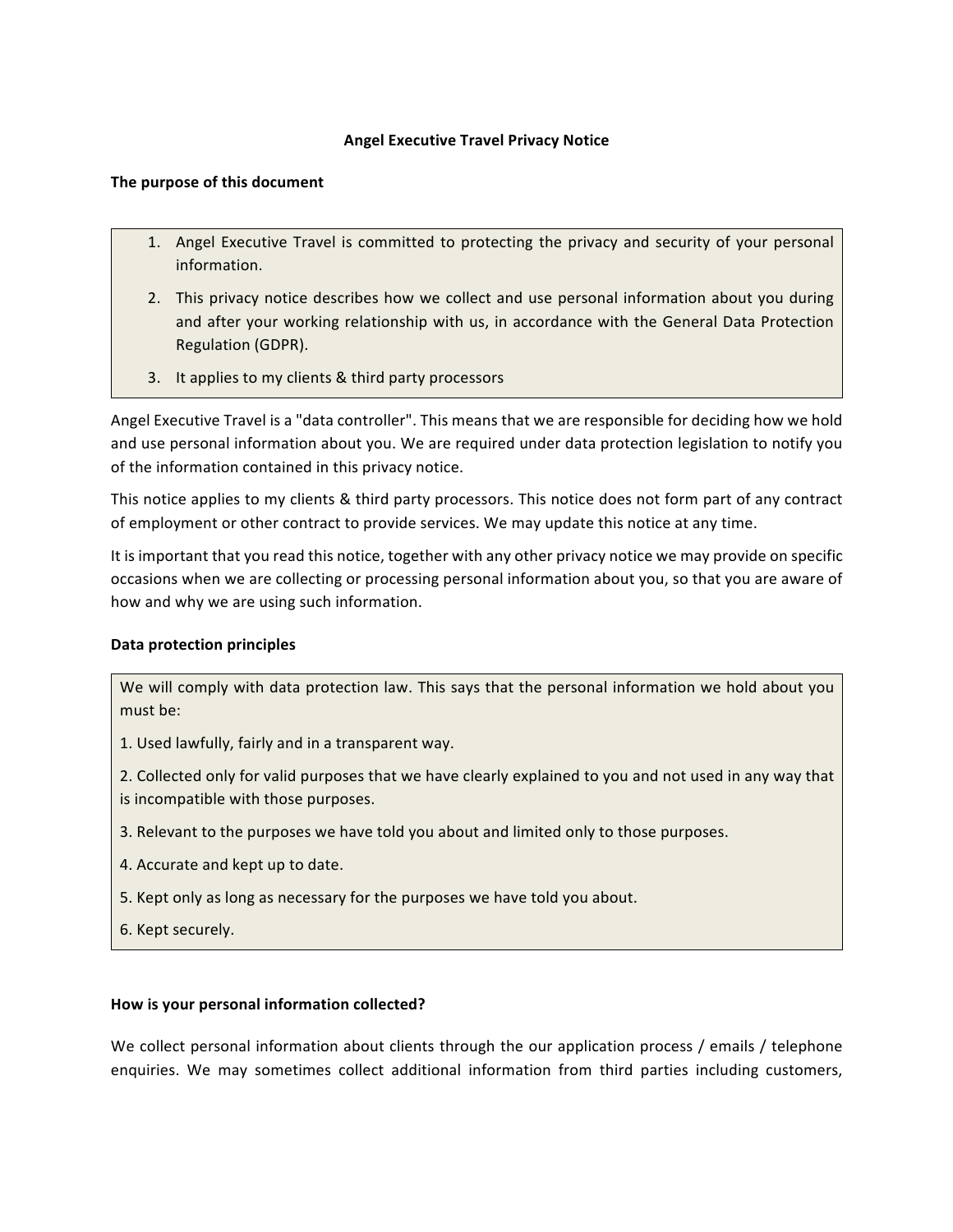# **Angel Executive Travel Privacy Notice**

### The purpose of this document

- 1. Angel Executive Travel is committed to protecting the privacy and security of your personal information.
- 2. This privacy notice describes how we collect and use personal information about you during and after your working relationship with us, in accordance with the General Data Protection Regulation (GDPR).
- 3. It applies to my clients & third party processors

Angel Executive Travel is a "data controller". This means that we are responsible for deciding how we hold and use personal information about you. We are required under data protection legislation to notify you of the information contained in this privacy notice.

This notice applies to my clients & third party processors. This notice does not form part of any contract of employment or other contract to provide services. We may update this notice at any time.

It is important that you read this notice, together with any other privacy notice we may provide on specific occasions when we are collecting or processing personal information about you, so that you are aware of how and why we are using such information.

## **Data protection principles**

We will comply with data protection law. This says that the personal information we hold about you must be:

1. Used lawfully, fairly and in a transparent way.

2. Collected only for valid purposes that we have clearly explained to you and not used in any way that is incompatible with those purposes.

- 3. Relevant to the purposes we have told you about and limited only to those purposes.
- 4. Accurate and kept up to date.
- 5. Kept only as long as necessary for the purposes we have told you about.
- 6. Kept securely.

#### How is your personal information collected?

We collect personal information about clients through the our application process / emails / telephone enquiries. We may sometimes collect additional information from third parties including customers,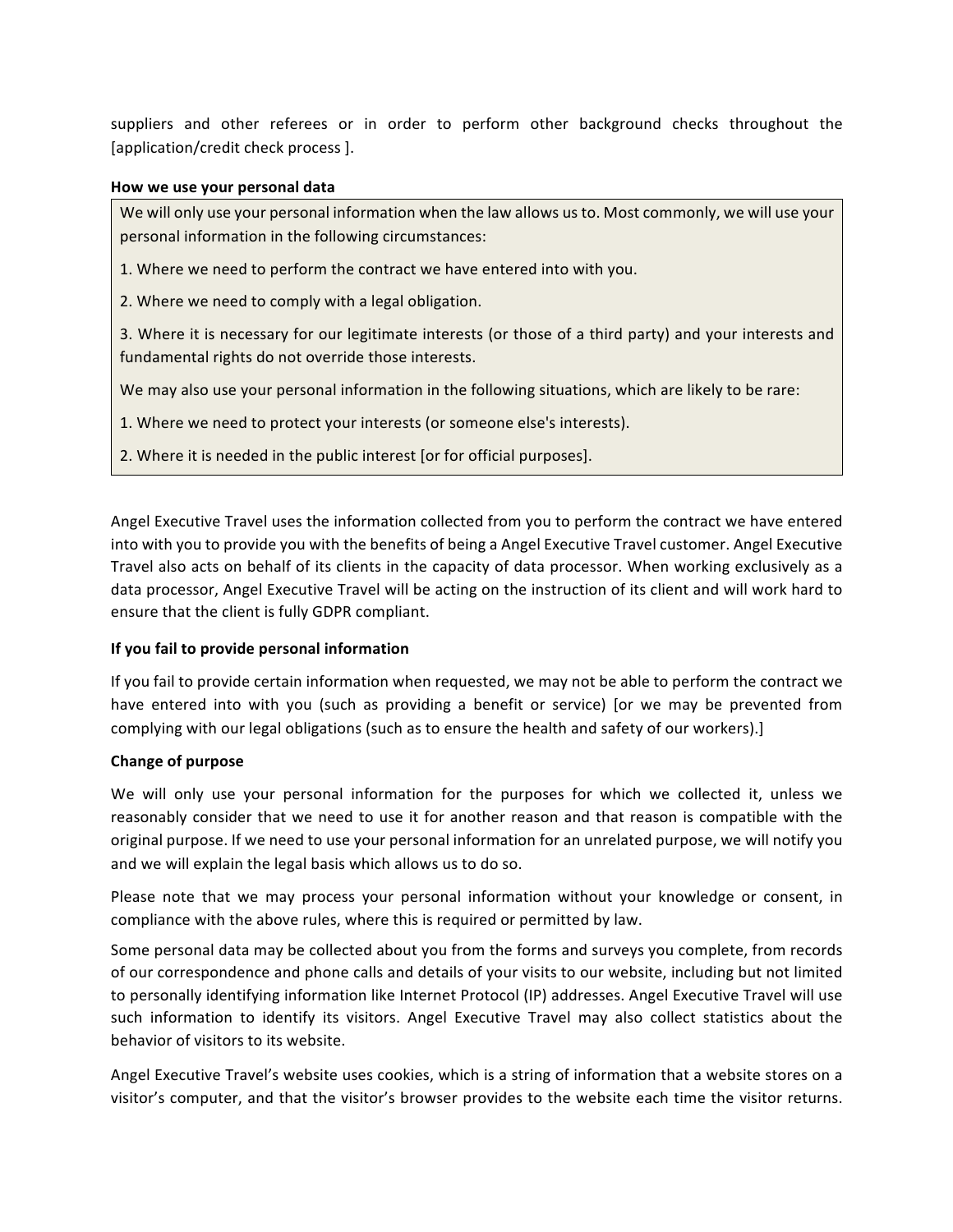suppliers and other referees or in order to perform other background checks throughout the [application/credit check process].

#### **How we use your personal data**

We will only use your personal information when the law allows us to. Most commonly, we will use your personal information in the following circumstances:

1. Where we need to perform the contract we have entered into with you.

2. Where we need to comply with a legal obligation.

3. Where it is necessary for our legitimate interests (or those of a third party) and your interests and fundamental rights do not override those interests.

We may also use your personal information in the following situations, which are likely to be rare:

1. Where we need to protect your interests (or someone else's interests).

2. Where it is needed in the public interest [or for official purposes].

Angel Executive Travel uses the information collected from you to perform the contract we have entered into with you to provide you with the benefits of being a Angel Executive Travel customer. Angel Executive Travel also acts on behalf of its clients in the capacity of data processor. When working exclusively as a data processor, Angel Executive Travel will be acting on the instruction of its client and will work hard to ensure that the client is fully GDPR compliant.

#### **If you fail to provide personal information**

If you fail to provide certain information when requested, we may not be able to perform the contract we have entered into with you (such as providing a benefit or service) [or we may be prevented from complying with our legal obligations (such as to ensure the health and safety of our workers).]

#### **Change of purpose**

We will only use your personal information for the purposes for which we collected it, unless we reasonably consider that we need to use it for another reason and that reason is compatible with the original purpose. If we need to use your personal information for an unrelated purpose, we will notify you and we will explain the legal basis which allows us to do so.

Please note that we may process your personal information without your knowledge or consent, in compliance with the above rules, where this is required or permitted by law.

Some personal data may be collected about you from the forms and surveys you complete, from records of our correspondence and phone calls and details of your visits to our website, including but not limited to personally identifying information like Internet Protocol (IP) addresses. Angel Executive Travel will use such information to identify its visitors. Angel Executive Travel may also collect statistics about the behavior of visitors to its website.

Angel Executive Travel's website uses cookies, which is a string of information that a website stores on a visitor's computer, and that the visitor's browser provides to the website each time the visitor returns.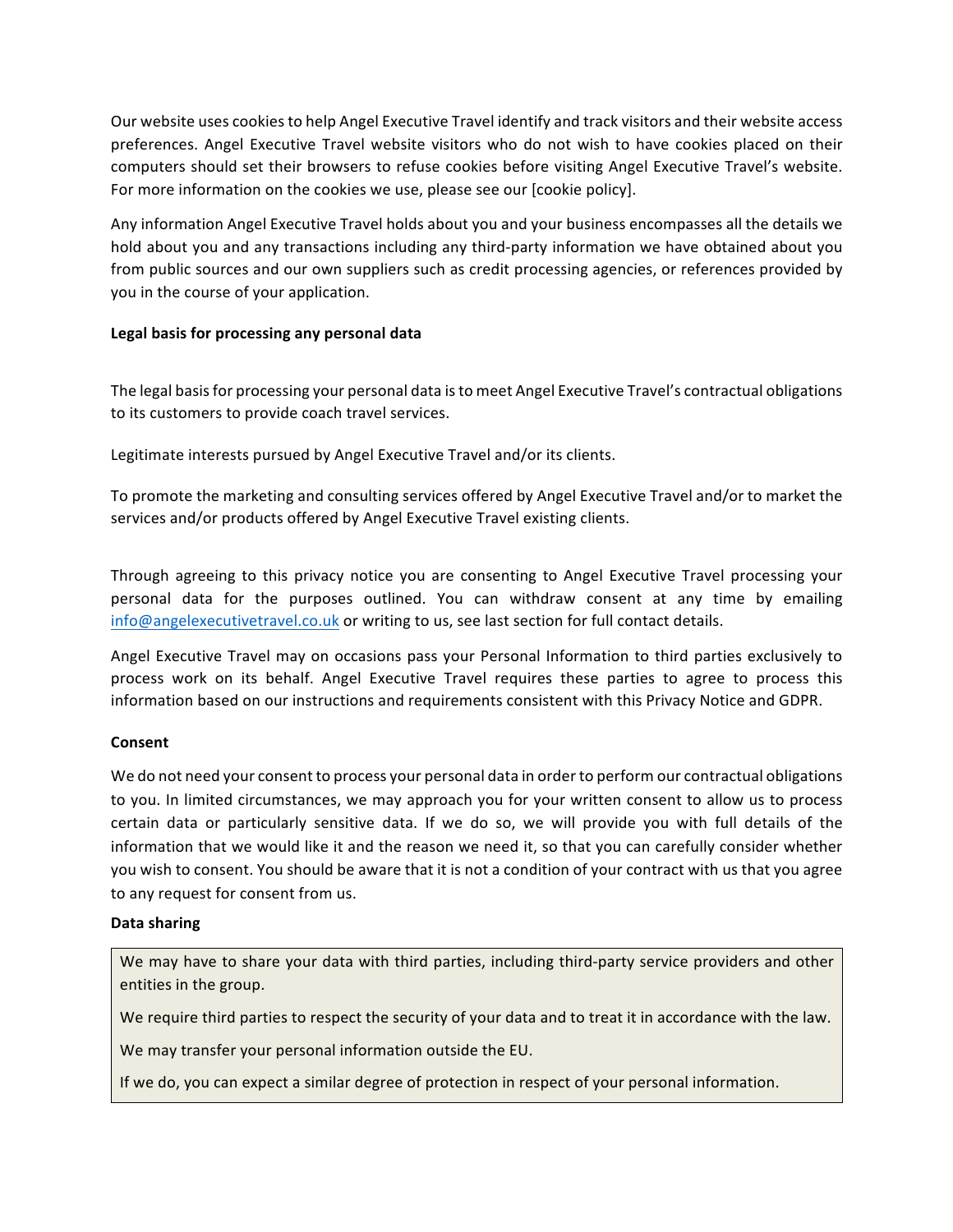Our website uses cookies to help Angel Executive Travel identify and track visitors and their website access preferences. Angel Executive Travel website visitors who do not wish to have cookies placed on their computers should set their browsers to refuse cookies before visiting Angel Executive Travel's website. For more information on the cookies we use, please see our [cookie policy].

Any information Angel Executive Travel holds about you and your business encompasses all the details we hold about you and any transactions including any third-party information we have obtained about you from public sources and our own suppliers such as credit processing agencies, or references provided by you in the course of your application.

# Legal basis for processing any personal data

The legal basis for processing your personal data is to meet Angel Executive Travel's contractual obligations to its customers to provide coach travel services.

Legitimate interests pursued by Angel Executive Travel and/or its clients.

To promote the marketing and consulting services offered by Angel Executive Travel and/or to market the services and/or products offered by Angel Executive Travel existing clients.

Through agreeing to this privacy notice you are consenting to Angel Executive Travel processing your personal data for the purposes outlined. You can withdraw consent at any time by emailing info@angelexecutivetravel.co.uk or writing to us, see last section for full contact details.

Angel Executive Travel may on occasions pass your Personal Information to third parties exclusively to process work on its behalf. Angel Executive Travel requires these parties to agree to process this information based on our instructions and requirements consistent with this Privacy Notice and GDPR.

## **Consent**

We do not need your consent to process your personal data in order to perform our contractual obligations to you. In limited circumstances, we may approach you for your written consent to allow us to process certain data or particularly sensitive data. If we do so, we will provide you with full details of the information that we would like it and the reason we need it, so that you can carefully consider whether you wish to consent. You should be aware that it is not a condition of your contract with us that you agree to any request for consent from us.

## **Data sharing**

We may have to share your data with third parties, including third-party service providers and other entities in the group.

We require third parties to respect the security of your data and to treat it in accordance with the law.

We may transfer your personal information outside the EU.

If we do, you can expect a similar degree of protection in respect of your personal information.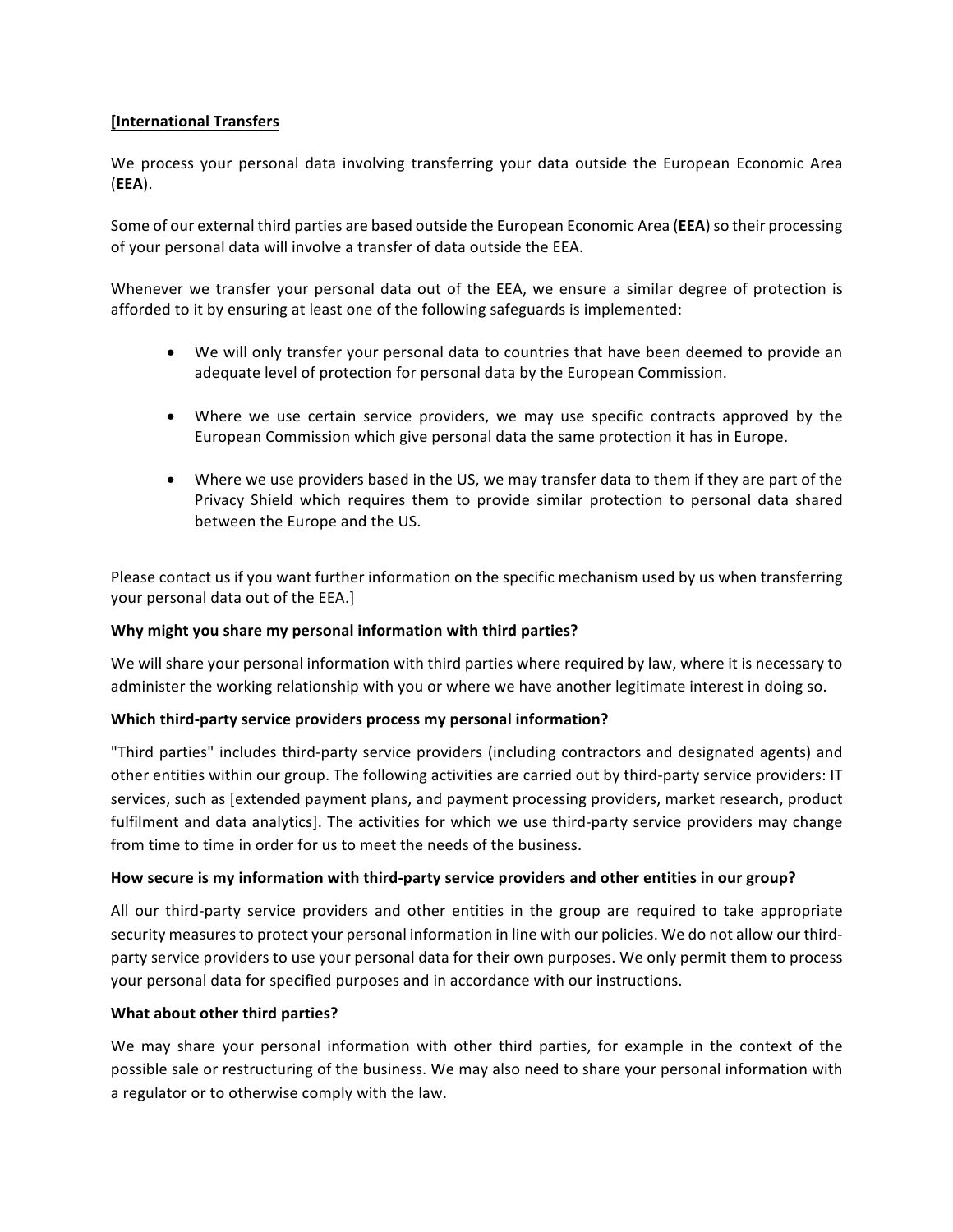# **[International Transfers**

We process your personal data involving transferring your data outside the European Economic Area (**EEA**).

Some of our external third parties are based outside the European Economic Area (**EEA**) so their processing of your personal data will involve a transfer of data outside the EEA.

Whenever we transfer your personal data out of the EEA, we ensure a similar degree of protection is afforded to it by ensuring at least one of the following safeguards is implemented:

- We will only transfer your personal data to countries that have been deemed to provide an adequate level of protection for personal data by the European Commission.
- Where we use certain service providers, we may use specific contracts approved by the European Commission which give personal data the same protection it has in Europe.
- Where we use providers based in the US, we may transfer data to them if they are part of the Privacy Shield which requires them to provide similar protection to personal data shared between the Europe and the US.

Please contact us if you want further information on the specific mechanism used by us when transferring your personal data out of the EEA.]

## Why might you share my personal information with third parties?

We will share your personal information with third parties where required by law, where it is necessary to administer the working relationship with you or where we have another legitimate interest in doing so.

## **Which third-party service providers process my personal information?**

"Third parties" includes third-party service providers (including contractors and designated agents) and other entities within our group. The following activities are carried out by third-party service providers: IT services, such as [extended payment plans, and payment processing providers, market research, product fulfilment and data analytics]. The activities for which we use third-party service providers may change from time to time in order for us to meet the needs of the business.

## How secure is my information with third-party service providers and other entities in our group?

All our third-party service providers and other entities in the group are required to take appropriate security measures to protect your personal information in line with our policies. We do not allow our thirdparty service providers to use your personal data for their own purposes. We only permit them to process your personal data for specified purposes and in accordance with our instructions.

## **What about other third parties?**

We may share your personal information with other third parties, for example in the context of the possible sale or restructuring of the business. We may also need to share your personal information with a regulator or to otherwise comply with the law.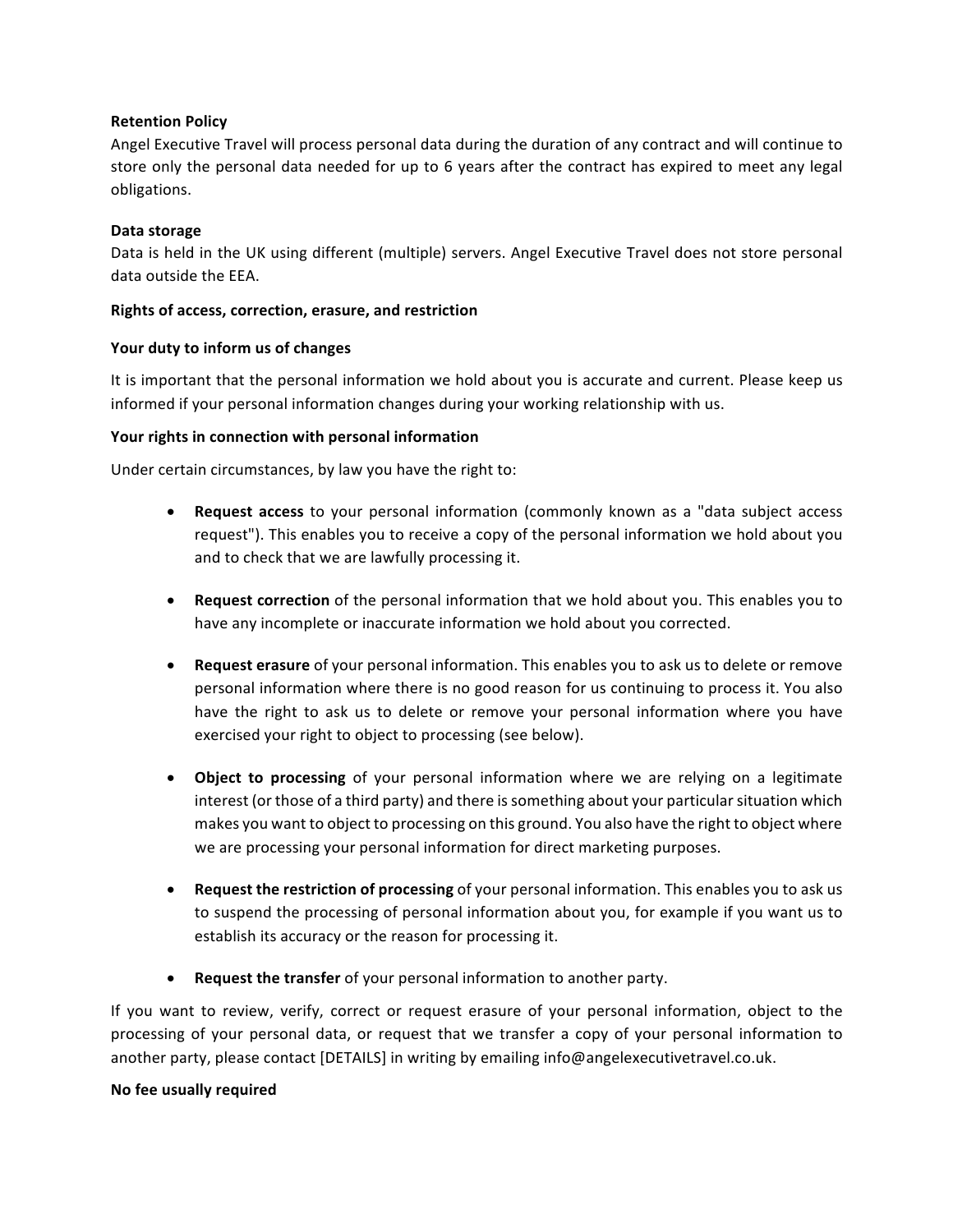### **Retention Policy**

Angel Executive Travel will process personal data during the duration of any contract and will continue to store only the personal data needed for up to 6 years after the contract has expired to meet any legal obligations. 

#### **Data storage**

Data is held in the UK using different (multiple) servers. Angel Executive Travel does not store personal data outside the EEA.

#### **Rights of access, correction, erasure, and restriction**

#### Your duty to inform us of changes

It is important that the personal information we hold about you is accurate and current. Please keep us informed if your personal information changes during your working relationship with us.

#### Your rights in connection with personal information

Under certain circumstances, by law you have the right to:

- **Request access** to your personal information (commonly known as a "data subject access request"). This enables you to receive a copy of the personal information we hold about you and to check that we are lawfully processing it.
- **Request correction** of the personal information that we hold about you. This enables you to have any incomplete or inaccurate information we hold about you corrected.
- **Request erasure** of your personal information. This enables you to ask us to delete or remove personal information where there is no good reason for us continuing to process it. You also have the right to ask us to delete or remove your personal information where you have exercised your right to object to processing (see below).
- Object to processing of your personal information where we are relying on a legitimate interest (or those of a third party) and there is something about your particular situation which makes you want to object to processing on this ground. You also have the right to object where we are processing your personal information for direct marketing purposes.
- **Request the restriction of processing** of your personal information. This enables you to ask us to suspend the processing of personal information about you, for example if you want us to establish its accuracy or the reason for processing it.
- Request the transfer of your personal information to another party.

If you want to review, verify, correct or request erasure of your personal information, object to the processing of your personal data, or request that we transfer a copy of your personal information to another party, please contact [DETAILS] in writing by emailing info@angelexecutivetravel.co.uk.

#### **No fee usually required**